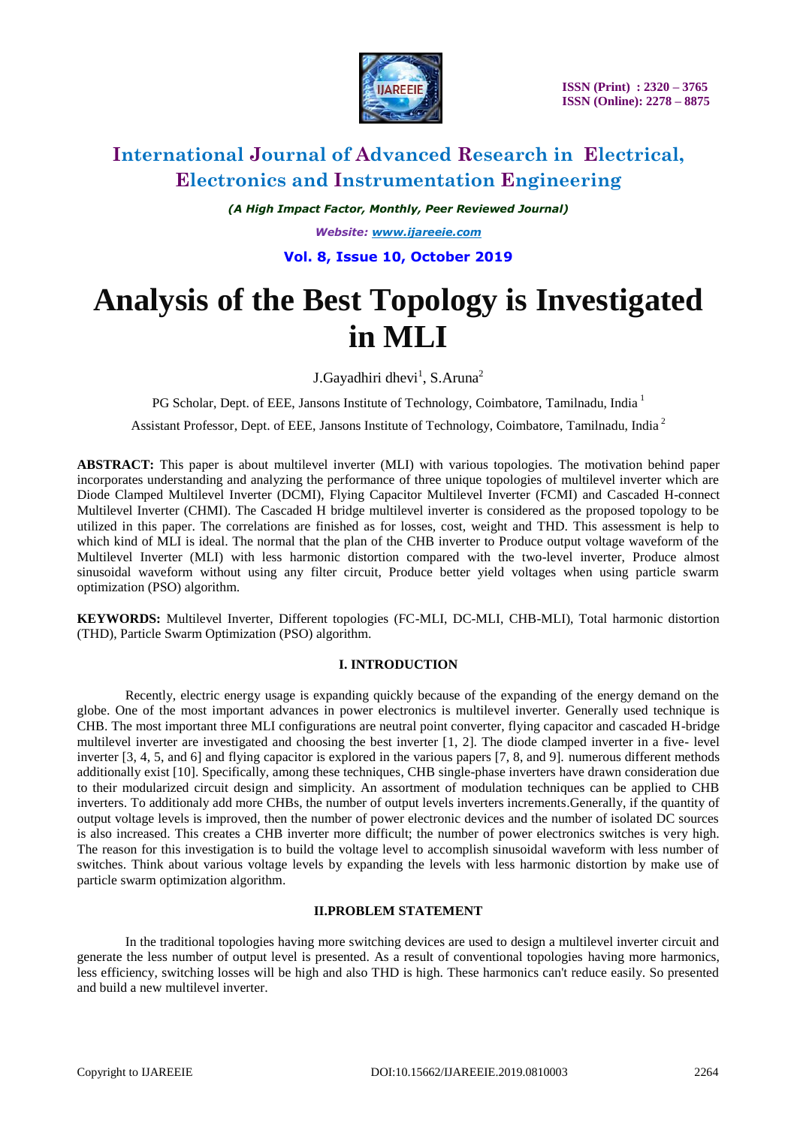

*(A High Impact Factor, Monthly, Peer Reviewed Journal) Website: [www.ijareeie.com](http://www.ijareeie.com/)* **Vol. 8, Issue 10, October 2019**

# **Analysis of the Best Topology is Investigated in MLI**

J.Gayadhiri dhevi<sup>1</sup>, S.Aruna<sup>2</sup>

PG Scholar, Dept. of EEE, Jansons Institute of Technology, Coimbatore, Tamilnadu, India<sup>1</sup>

Assistant Professor, Dept. of EEE, Jansons Institute of Technology, Coimbatore, Tamilnadu, India <sup>2</sup>

**ABSTRACT:** This paper is about multilevel inverter (MLI) with various topologies. The motivation behind paper incorporates understanding and analyzing the performance of three unique topologies of multilevel inverter which are Diode Clamped Multilevel Inverter (DCMI), Flying Capacitor Multilevel Inverter (FCMI) and Cascaded H-connect Multilevel Inverter (CHMI). The Cascaded H bridge multilevel inverter is considered as the proposed topology to be utilized in this paper. The correlations are finished as for losses, cost, weight and THD. This assessment is help to which kind of MLI is ideal. The normal that the plan of the CHB inverter to Produce output voltage waveform of the Multilevel Inverter (MLI) with less harmonic distortion compared with the two-level inverter, Produce almost sinusoidal waveform without using any filter circuit, Produce better yield voltages when using particle swarm optimization (PSO) algorithm.

**KEYWORDS:** Multilevel Inverter, Different topologies (FC-MLI, DC-MLI, CHB-MLI), Total harmonic distortion (THD), Particle Swarm Optimization (PSO) algorithm.

#### **I. INTRODUCTION**

Recently, electric energy usage is expanding quickly because of the expanding of the energy demand on the globe. One of the most important advances in power electronics is multilevel inverter. Generally used technique is CHB. The most important three MLI configurations are neutral point converter, flying capacitor and cascaded H-bridge multilevel inverter are investigated and choosing the best inverter [1, 2]. The diode clamped inverter in a five- level inverter [3, 4, 5, and 6] and flying capacitor is explored in the various papers [7, 8, and 9]. numerous different methods additionally exist [10]. Specifically, among these techniques, CHB single-phase inverters have drawn consideration due to their modularized circuit design and simplicity. An assortment of modulation techniques can be applied to CHB inverters. To additionaly add more CHBs, the number of output levels inverters increments.Generally, if the quantity of output voltage levels is improved, then the number of power electronic devices and the number of isolated DC sources is also increased. This creates a CHB inverter more difficult; the number of power electronics switches is very high. The reason for this investigation is to build the voltage level to accomplish sinusoidal waveform with less number of switches. Think about various voltage levels by expanding the levels with less harmonic distortion by make use of particle swarm optimization algorithm.

#### **II.PROBLEM STATEMENT**

In the traditional topologies having more switching devices are used to design a multilevel inverter circuit and generate the less number of output level is presented. As a result of conventional topologies having more harmonics, less efficiency, switching losses will be high and also THD is high. These harmonics can't reduce easily. So presented and build a new multilevel inverter.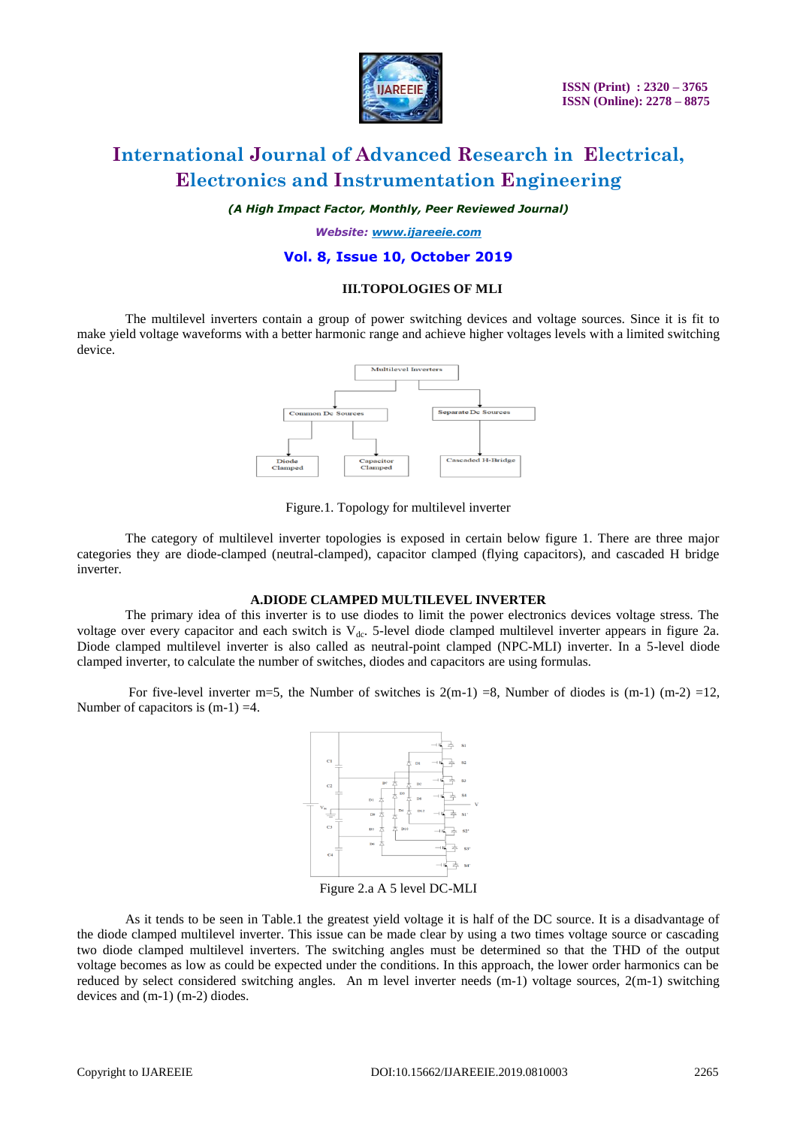

*(A High Impact Factor, Monthly, Peer Reviewed Journal)*

*Website: [www.ijareeie.com](http://www.ijareeie.com/)*

### **Vol. 8, Issue 10, October 2019**

#### **III.TOPOLOGIES OF MLI**

The multilevel inverters contain a group of power switching devices and voltage sources. Since it is fit to make yield voltage waveforms with a better harmonic range and achieve higher voltages levels with a limited switching device.



Figure.1. Topology for multilevel inverter

The category of multilevel inverter topologies is exposed in certain below figure 1. There are three major categories they are diode-clamped (neutral-clamped), capacitor clamped (flying capacitors), and cascaded H bridge inverter.

#### **A.DIODE CLAMPED MULTILEVEL INVERTER**

The primary idea of this inverter is to use diodes to limit the power electronics devices voltage stress. The voltage over every capacitor and each switch is  $V_{dc}$ . 5-level diode clamped multilevel inverter appears in figure 2a. Diode clamped multilevel inverter is also called as neutral-point clamped (NPC-MLI) inverter. In a 5-level diode clamped inverter, to calculate the number of switches, diodes and capacitors are using formulas.

For five-level inverter m=5, the Number of switches is  $2(m-1) = 8$ , Number of diodes is  $(m-1)$   $(m-2) = 12$ , Number of capacitors is  $(m-1) = 4$ .



Figure 2.a A 5 level DC-MLI

As it tends to be seen in Table.1 the greatest yield voltage it is half of the DC source. It is a disadvantage of the diode clamped multilevel inverter. This issue can be made clear by using a two times voltage source or cascading two diode clamped multilevel inverters. The switching angles must be determined so that the THD of the output voltage becomes as low as could be expected under the conditions. In this approach, the lower order harmonics can be reduced by select considered switching angles. An m level inverter needs (m-1) voltage sources, 2(m-1) switching devices and (m-1) (m-2) diodes.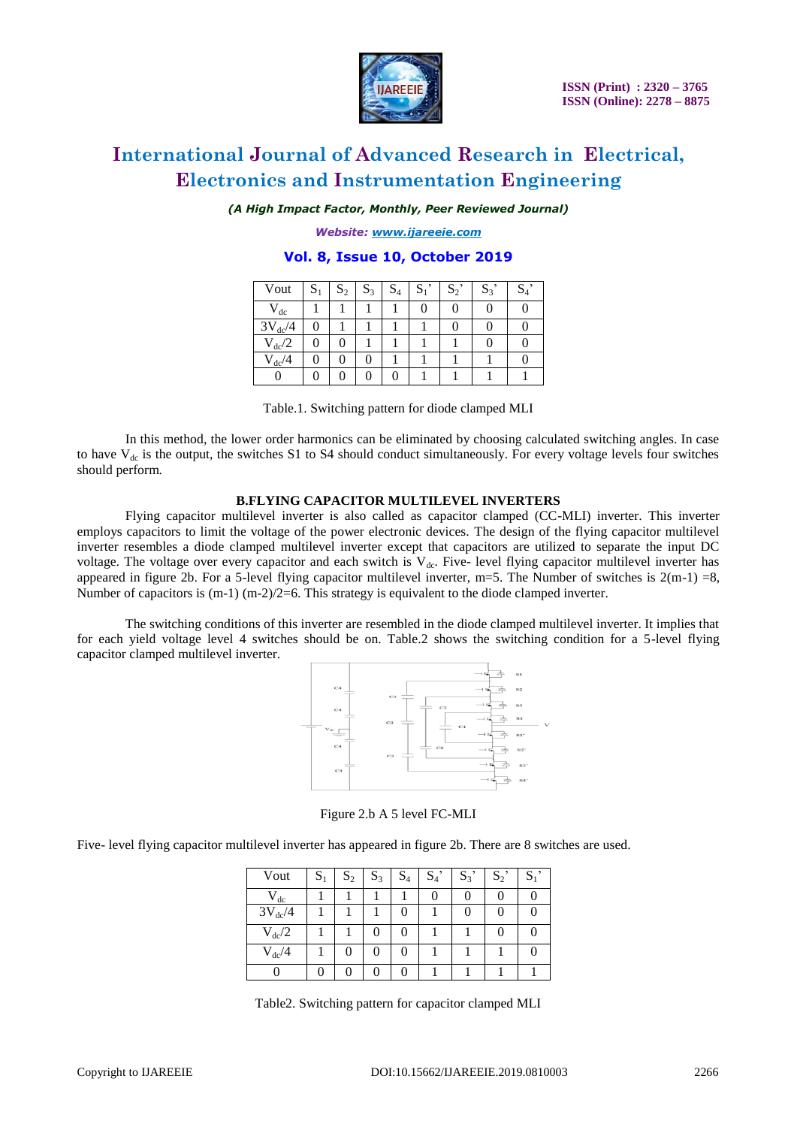

*(A High Impact Factor, Monthly, Peer Reviewed Journal)*

*Website: [www.ijareeie.com](http://www.ijareeie.com/)*

### **Vol. 8, Issue 10, October 2019**

| Vout        | $S_1$ | $S_2$ | $S_3$ | $S_4$ | $S_1$<br>, | $S_2$ | $S_3$ | $S_4$ |
|-------------|-------|-------|-------|-------|------------|-------|-------|-------|
| $V_{dc}$    |       |       |       |       |            |       |       |       |
| $3V_{dc}/4$ |       |       |       |       |            |       |       |       |
| $V_{dc}/2$  |       |       |       |       |            |       |       |       |
| $V_{dc}$ /4 |       |       |       |       |            |       |       |       |
|             |       |       |       |       |            |       |       |       |

Table.1. Switching pattern for diode clamped MLI

In this method, the lower order harmonics can be eliminated by choosing calculated switching angles. In case to have  $V_{dc}$  is the output, the switches S1 to S4 should conduct simultaneously. For every voltage levels four switches should perform.

#### **B.FLYING CAPACITOR MULTILEVEL INVERTERS**

Flying capacitor multilevel inverter is also called as capacitor clamped (CC-MLI) inverter. This inverter employs capacitors to limit the voltage of the power electronic devices. The design of the flying capacitor multilevel inverter resembles a diode clamped multilevel inverter except that capacitors are utilized to separate the input DC voltage. The voltage over every capacitor and each switch is  $V_{dc}$ . Five- level flying capacitor multilevel inverter has appeared in figure 2b. For a 5-level flying capacitor multilevel inverter, m=5. The Number of switches is  $2(m-1) = 8$ , Number of capacitors is (m-1) (m-2)/2=6. This strategy is equivalent to the diode clamped inverter.

The switching conditions of this inverter are resembled in the diode clamped multilevel inverter. It implies that for each yield voltage level 4 switches should be on. Table.2 shows the switching condition for a 5-level flying capacitor clamped multilevel inverter.



Figure 2.b A 5 level FC-MLI

Five- level flying capacitor multilevel inverter has appeared in figure 2b. There are 8 switches are used.

| Vout            | $S_1$ | $S_2$ | $S_3$ | $S_4$ | $S_4$ | $S_3$            | $S_2$ | $S_1$ |
|-----------------|-------|-------|-------|-------|-------|------------------|-------|-------|
| $V_{\text{dc}}$ |       |       |       |       | 0     | 0                |       |       |
| $3V_{dc}/4$     |       |       |       | 0     |       | $\left( \right)$ |       |       |
| $V_{dc}/2$      |       |       |       | 0     |       |                  |       |       |
| $V_{dc}/4$      |       | 0     | 0     | 0     |       |                  |       |       |
|                 |       |       |       |       |       |                  |       |       |

Table2. Switching pattern for capacitor clamped MLI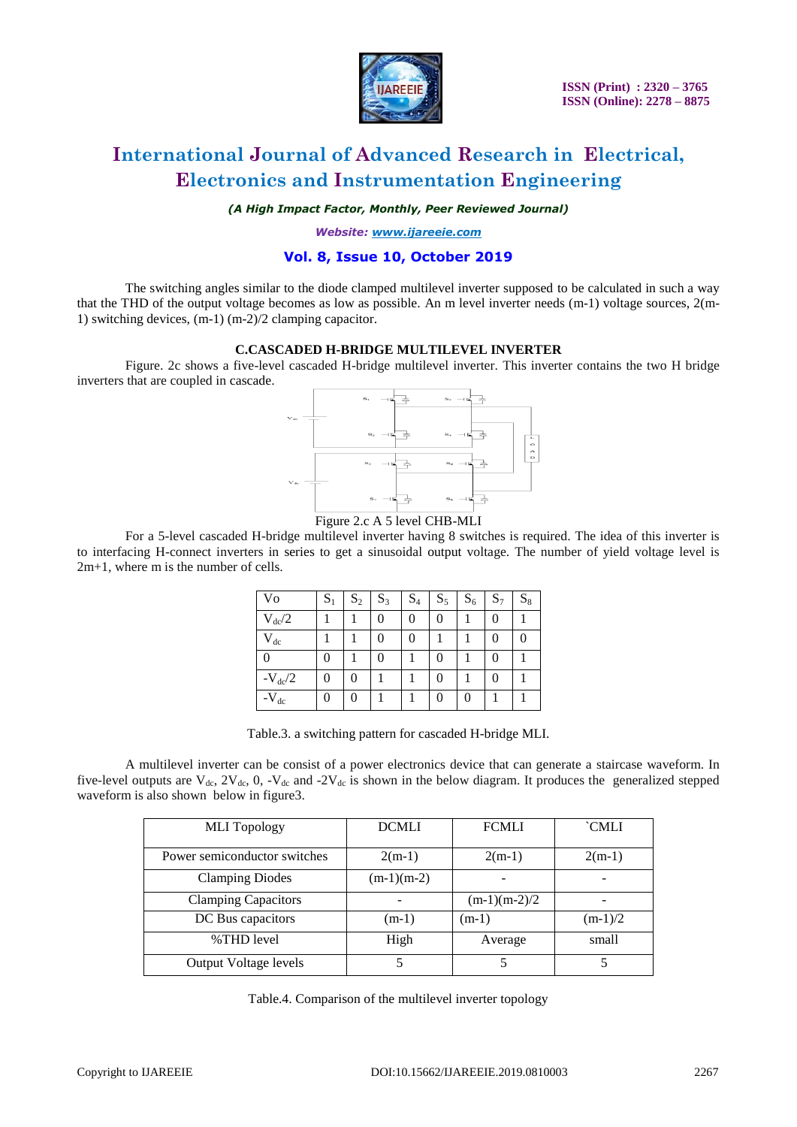

*(A High Impact Factor, Monthly, Peer Reviewed Journal)*

*Website: [www.ijareeie.com](http://www.ijareeie.com/)*

### **Vol. 8, Issue 10, October 2019**

The switching angles similar to the diode clamped multilevel inverter supposed to be calculated in such a way that the THD of the output voltage becomes as low as possible. An m level inverter needs (m-1) voltage sources, 2(m-1) switching devices, (m-1) (m-2)/2 clamping capacitor.

### **C.CASCADED H-BRIDGE MULTILEVEL INVERTER**

Figure. 2c shows a five-level cascaded H-bridge multilevel inverter. This inverter contains the two H bridge inverters that are coupled in cascade.



Figure 2.c A 5 level CHB-MLI

For a 5-level cascaded H-bridge multilevel inverter having 8 switches is required. The idea of this inverter is to interfacing H-connect inverters in series to get a sinusoidal output voltage. The number of yield voltage level is 2m+1, where m is the number of cells.

| Vo           | $S_1$ | $S_2$ | $S_3$ | $S_4$ | $S_5$ | $S_6$ | $S_7$ | $\mathbf{S}_8$ |
|--------------|-------|-------|-------|-------|-------|-------|-------|----------------|
| $V_{dc}/2$   |       |       | 0     |       | 0     |       |       |                |
| $\rm V_{dc}$ |       |       |       |       |       |       |       |                |
|              |       |       |       |       | 0     |       |       |                |
| $-V_{dc}/2$  |       | 0     |       |       | 0     |       |       |                |
| $-V_{dc}$    | 0     | 0     |       |       | 0     | 0     |       |                |

Table.3. a switching pattern for cascaded H-bridge MLI.

A multilevel inverter can be consist of a power electronics device that can generate a staircase waveform. In five-level outputs are  $V_{dc}$ ,  $2V_{dc}$ , 0,  $-V_{dc}$  and  $-2V_{dc}$  is shown in the below diagram. It produces the generalized stepped waveform is also shown below in figure3.

| <b>MLI</b> Topology          | <b>DCMLI</b> | <b>FCMLI</b>   | `CMLI     |
|------------------------------|--------------|----------------|-----------|
| Power semiconductor switches | $2(m-1)$     | $2(m-1)$       | $2(m-1)$  |
| <b>Clamping Diodes</b>       | $(m-1)(m-2)$ |                |           |
| <b>Clamping Capacitors</b>   |              | $(m-1)(m-2)/2$ |           |
| DC Bus capacitors            | $(m-1)$      | $(m-1)$        | $(m-1)/2$ |
| %THD level                   | High         | Average        | small     |
| <b>Output Voltage levels</b> |              |                |           |

| Table.4. Comparison of the multilevel inverter topology |  |  |
|---------------------------------------------------------|--|--|
|                                                         |  |  |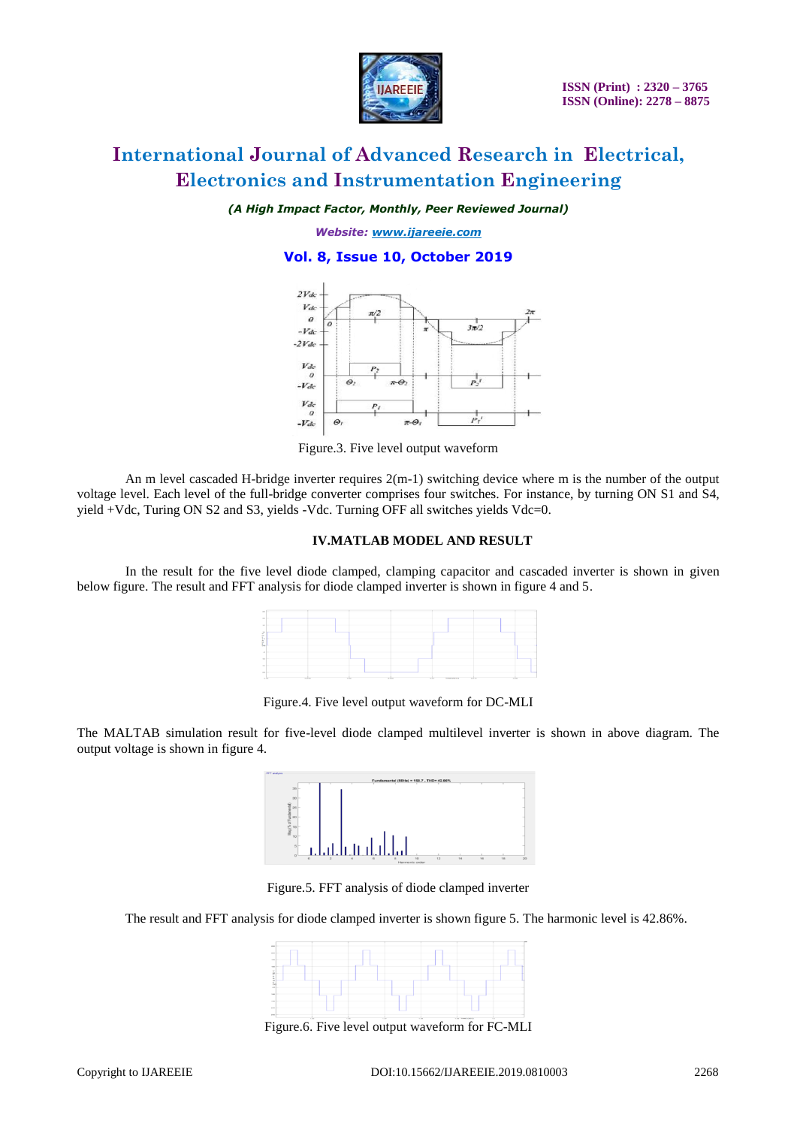

*(A High Impact Factor, Monthly, Peer Reviewed Journal)*

*Website: [www.ijareeie.com](http://www.ijareeie.com/)*

**Vol. 8, Issue 10, October 2019**



Figure.3. Five level output waveform

An m level cascaded H-bridge inverter requires 2(m-1) switching device where m is the number of the output voltage level. Each level of the full-bridge converter comprises four switches. For instance, by turning ON S1 and S4, yield +Vdc, Turing ON S2 and S3, yields -Vdc. Turning OFF all switches yields Vdc=0.

### **IV.MATLAB MODEL AND RESULT**

In the result for the five level diode clamped, clamping capacitor and cascaded inverter is shown in given below figure. The result and FFT analysis for diode clamped inverter is shown in figure 4 and 5.

| $-1$  | the control of the control of the control of                                                                    |  |  |  |
|-------|-----------------------------------------------------------------------------------------------------------------|--|--|--|
|       |                                                                                                                 |  |  |  |
| $-1$  |                                                                                                                 |  |  |  |
|       |                                                                                                                 |  |  |  |
|       |                                                                                                                 |  |  |  |
| i     |                                                                                                                 |  |  |  |
|       |                                                                                                                 |  |  |  |
|       |                                                                                                                 |  |  |  |
| and 1 |                                                                                                                 |  |  |  |
| and 1 |                                                                                                                 |  |  |  |
|       |                                                                                                                 |  |  |  |
|       | the contract of the contract of the contract of the contract of the contract of the contract of the contract of |  |  |  |

Figure.4. Five level output waveform for DC-MLI

The MALTAB simulation result for five-level diode clamped multilevel inverter is shown in above diagram. The output voltage is shown in figure 4.



Figure.5. FFT analysis of diode clamped inverter

The result and FFT analysis for diode clamped inverter is shown figure 5. The harmonic level is 42.86%.



Figure.6. Five level output waveform for FC-MLI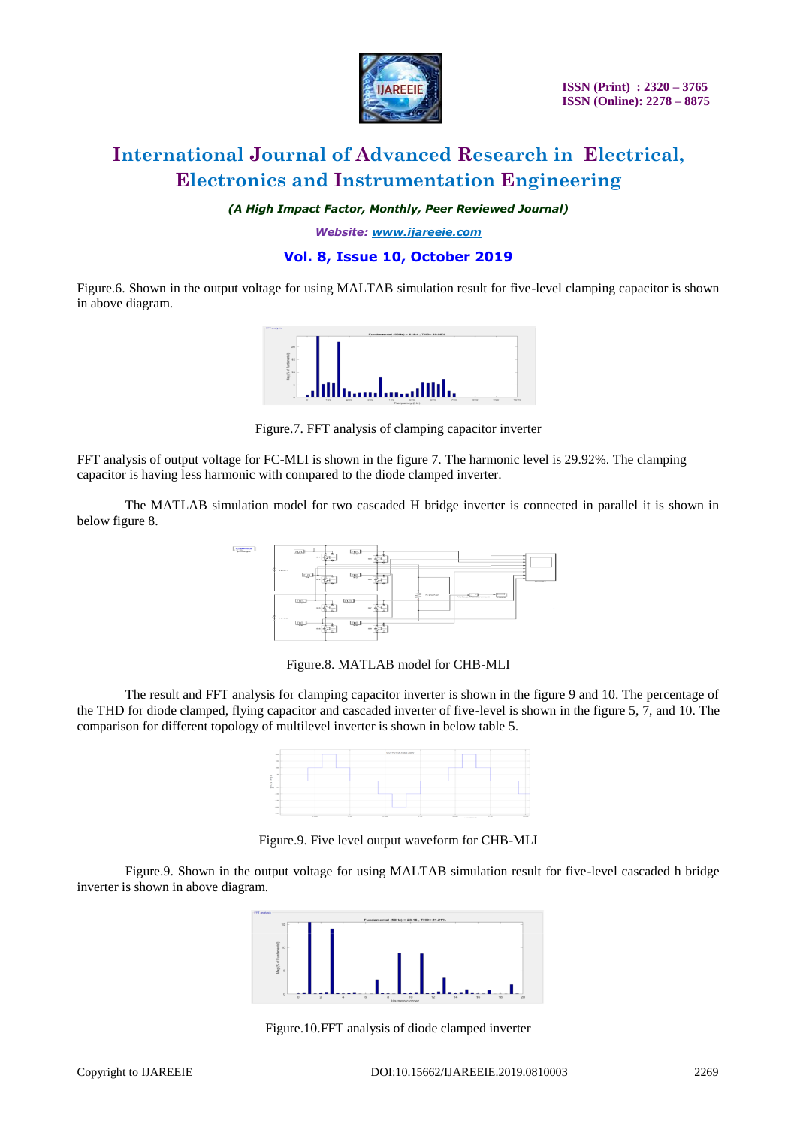

*(A High Impact Factor, Monthly, Peer Reviewed Journal)*

*Website: [www.ijareeie.com](http://www.ijareeie.com/)*

**Vol. 8, Issue 10, October 2019**

Figure.6. Shown in the output voltage for using MALTAB simulation result for five-level clamping capacitor is shown in above diagram.



Figure.7. FFT analysis of clamping capacitor inverter

FFT analysis of output voltage for FC-MLI is shown in the figure 7. The harmonic level is 29.92%. The clamping capacitor is having less harmonic with compared to the diode clamped inverter.

The MATLAB simulation model for two cascaded H bridge inverter is connected in parallel it is shown in below figure 8.



Figure.8. MATLAB model for CHB-MLI

The result and FFT analysis for clamping capacitor inverter is shown in the figure 9 and 10. The percentage of the THD for diode clamped, flying capacitor and cascaded inverter of five-level is shown in the figure 5, 7, and 10. The comparison for different topology of multilevel inverter is shown in below table 5.



Figure.9. Five level output waveform for CHB-MLI

Figure.9. Shown in the output voltage for using MALTAB simulation result for five-level cascaded h bridge inverter is shown in above diagram.



Figure.10.FFT analysis of diode clamped inverter